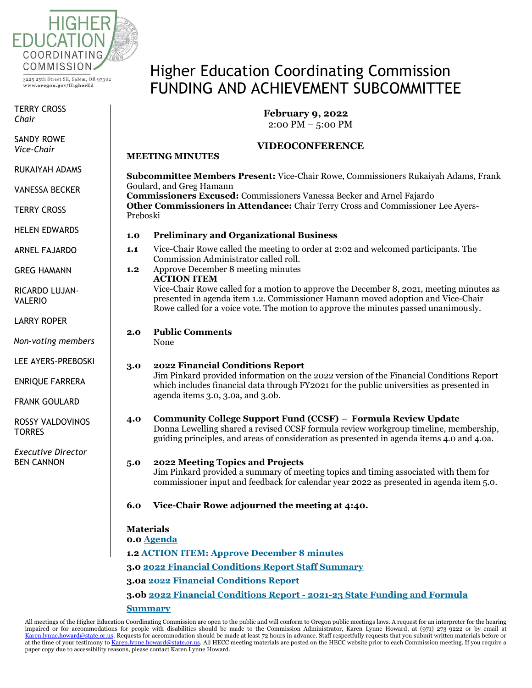

www.oregon.gov/HigherEd

TERRY CROSS *Chair*

SANDY ROWE<br>Vi *Chair Vice-Chair*

RUKAIYAH ADAMS

*Vice-Chair* VANESSA BECKER

 $\epsilon$ TERRY CROSS

HELEN EDWARDS

ARNEL FAJARDO

GREG HAMANN

RICARDO LUJAN-<br>WILEDIO VALERIO

LARRY ROPER

DUNCAN WYSE *Non-voting members*

*Non-voting*  LEE AYERS-PREBOSKI

*members* ENRIQUE FARRERA

 $\epsilon$  countries FRANK GOULARD

ROSSY VALDOVINOS<br>TORRES ES DE LA CA **TORRES** 

FRANK *Executive Director* BEN CANNON

# Higher Education Coordinating Commission FUNDING AND ACHIEVEMENT SUBCOMMITTEE

### **February 9, 2022**

2:00 PM – 5:00 PM

#### **VIDEOCONFERENCE**

**Subcommittee Members Present:** Vice-Chair Rowe, Commissioners Rukaiyah Adams, Frank

Goulard, and Greg Hamann **Commissioners Excused:** Commissioners Vanessa Becker and Arnel Fajardo **Other Commissioners in Attendance:** Chair Terry Cross and Commissioner Lee Ayers-Preboski **1.0 Preliminary and Organizational Business 1.1** Vice-Chair Rowe called the meeting to order at 2:02 and welcomed participants. The Commission Administrator called roll. **1.2** Approve December 8 meeting minutes **ACTION ITEM** Vice-Chair Rowe called for a motion to approve the December 8, 2021, meeting minutes as presented in agenda item 1.2. Commissioner Hamann moved adoption and Vice-Chair Rowe called for a voice vote. The motion to approve the minutes passed unanimously. **2.0 Public Comments** None **3.0 2022 Financial Conditions Report** Jim Pinkard provided information on the 2022 version of the Financial Conditions Report which includes financial data through FY2021 for the public universities as presented in agenda items 3.0, 3.0a, and 3.0b. **4.0 Community College Support Fund (CCSF) – Formula Review Update**

## Donna Lewelling shared a revised CCSF formula review workgroup timeline, membership, guiding principles, and areas of consideration as presented in agenda items 4.0 and 4.0a.

## **5.0 2022 Meeting Topics and Projects**

Jim Pinkard provided a summary of meeting topics and timing associated with them for commissioner input and feedback for calendar year 2022 as presented in agenda item 5.0.

**6.0 Vice-Chair Rowe adjourned the meeting at 4:40.**

#### **Materials**

**MEETING MINUTES**

**0.0 [Agenda](https://www.oregon.gov/highered/about/Documents/Commission/FA/2022/Feb%209/0.0%20Feb%20FA%20agenda.pdf)**

**1.2 [ACTION ITEM: Approve December 8 minutes](https://www.oregon.gov/highered/about/Documents/Commission/FA/2022/Feb%209/1.2%20Dec%208%20minutes.pdf)**

**3.0 [2022 Financial Conditions Report Staff Summary](https://www.oregon.gov/highered/about/Documents/Commission/FA/2022/Feb%209/3.0%202022%20Financial%20Conditions%20Report%20Staff%20Summary.pdf)**

**3.0a [2022 Financial Conditions Report](https://www.oregon.gov/highered/about/Documents/Commission/FA/2022/Feb%209/3.0a%202022%20Financial%20Conditions%20Report.pdf)**

**3.0b 2022 Financial Conditions Report - [2021-23 State Funding and Formula](https://www.oregon.gov/highered/about/Documents/Commission/FA/2022/Feb%209/3.0b%202022%20Financial%20Condition%20Report%20-%202021-23%20State%20Funding%20and%20Formula%20Summary.pdf)** 

**[Summary](https://www.oregon.gov/highered/about/Documents/Commission/FA/2022/Feb%209/3.0b%202022%20Financial%20Condition%20Report%20-%202021-23%20State%20Funding%20and%20Formula%20Summary.pdf)**

All meetings of the Higher Education Coordinating Commission are open to the public and will conform to Oregon public meetings laws. A request for an interpreter for the hearing impaired or for accommodations for people with disabilities should be made to the Commission Administrator, Karen Lynne Howard, at (971) 273-9222 or by email at [Karen.lynne.howard@state.or.us.](mailto:Karen.lynne.howard@state.or.us) Requests for accommodation should be made at least 72 hours in advance. Staff respectfully requests that you submit written materials before or at the time of your testimony t[o Karen.lynne.howard@state.or.us.](mailto:Karen.lynne.howard@state.or.us) All HECC meeting materials are posted on the HECC website prior to each Commission meeting. If you require a paper copy due to accessibility reasons, please contact Karen Lynne Howard.